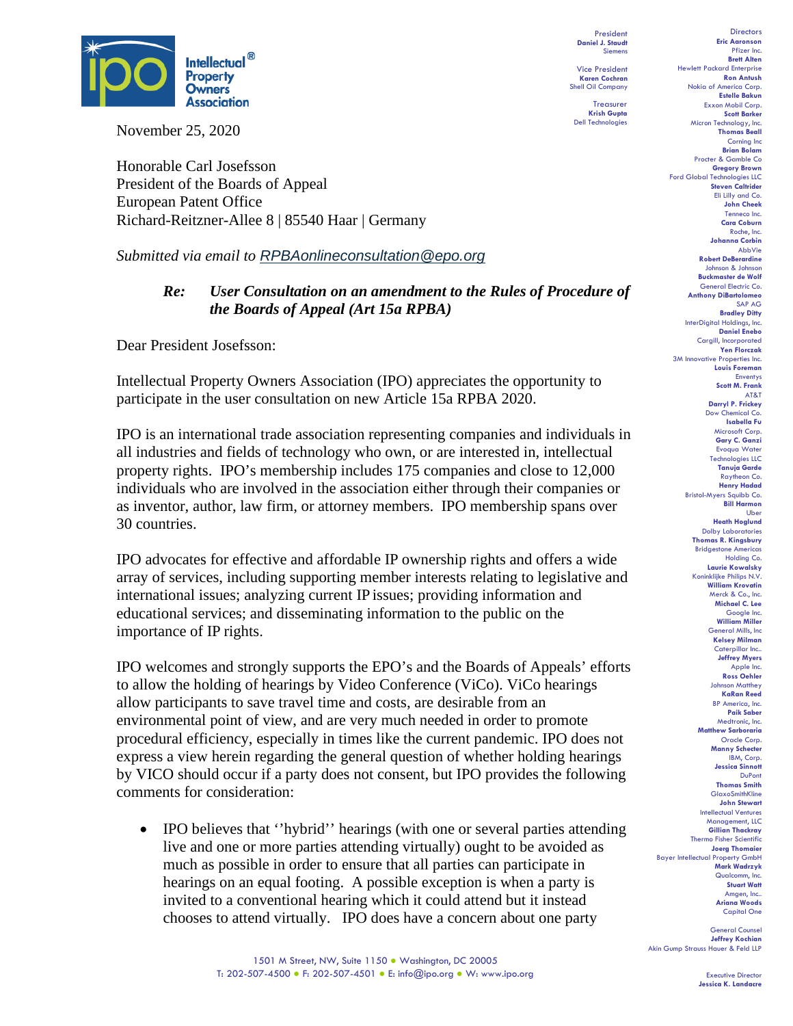

November 25, 2020

Honorable Carl Josefsson President of the Boards of Appeal European Patent Office Richard-Reitzner-Allee 8 | 85540 Haar | Germany

*Submitted via email to [RPBAonlineconsultation@epo.org](mailto:RPBAonlineconsultation@epo.org)*

## *Re: User Consultation on an amendment to the Rules of Procedure of the Boards of Appeal (Art 15a RPBA)*

Dear President Josefsson:

Intellectual Property Owners Association (IPO) appreciates the opportunity to participate in the user consultation on new Article 15a RPBA 2020.

IPO is an international trade association representing companies and individuals in all industries and fields of technology who own, or are interested in, intellectual property rights. IPO's membership includes 175 companies and close to 12,000 individuals who are involved in the association either through their companies or as inventor, author, law firm, or attorney members. IPO membership spans over 30 countries.

IPO advocates for effective and affordable IP ownership rights and offers a wide array of services, including supporting member interests relating to legislative and international issues; analyzing current IP issues; providing information and educational services; and disseminating information to the public on the importance of IP rights.

IPO welcomes and strongly supports the EPO's and the Boards of Appeals' efforts to allow the holding of hearings by Video Conference (ViCo). ViCo hearings allow participants to save travel time and costs, are desirable from an environmental point of view, and are very much needed in order to promote procedural efficiency, especially in times like the current pandemic. IPO does not express a view herein regarding the general question of whether holding hearings by VICO should occur if a party does not consent, but IPO provides the following comments for consideration:

• IPO believes that "hybrid" hearings (with one or several parties attending live and one or more parties attending virtually) ought to be avoided as much as possible in order to ensure that all parties can participate in hearings on an equal footing. A possible exception is when a party is invited to a conventional hearing which it could attend but it instead chooses to attend virtually. IPO does have a concern about one party

**Directors Eric Aaronson**  Pfizer Inc. **Brett Alten** Hewlett Packard Enterprise **Ron Antush** Nokia of America Corp. **Estelle Bakun** Exxon Mobil Corp. **Scott Barker** Micron Technology, Inc. **Thomas Beall** Corning Inc **Brian Bolam** Procter & Gamble Co **Gregory Brown** Ford Global Technologies LLC **Steven Caltrider** Eli Lilly and Co. **John Cheek** Tenneco Inc. **Cara Coburn** Roche, Inc. **Johanna Corbin** AbbVie **Robert DeBerardine** Johnson & Johnson **Buckmaster de Wolf** General Electric Co. **Anthony DiBartolomeo** SAP AG **Bradley Ditty** InterDigital Holdings, Inc. **Daniel Enebo** Caraill, Incorporated **Yen Florczak** 3M Innovative Properties Inc. **Louis Foreman** Enventys **Scott M. Frank** AT&T **Darryl P. Frickey** Dow Chemical C **Isabella Fu**  Microsoft Corp. **Gary C. Ganzi** Evoqua Water Technologies LLC **Tanuja Garde** Raytheon Co. **Henry Hadad** Bristol-Myers Squibb Co. **Bill Harmon** Uber **Heath Hoglund** Dolby Laboratories **Thomas R. Kingsbury** Bridgestone Americas Holding Co. **Laurie Kowalsky** Koninklijke Philips N.V. **William Krovatin** Merck & Co., Inc. **Michael C. Lee** Google Inc. **William Miller** General Mills, Inc **Kelsey Milman** Caterpillar Inc.. **Jeffrey Myers** Apple Inc. **Ross Oehler** Johnson Matthey **KaRan Reed** BP America, Inc. **Paik Saber** Medtronic, Inc. **Matthew Sarboraria** Oracle Corp. **Manny Schecter** IBM, Corp. **Jessica Sinnott** DuPont **Thomas Smith** GlaxoSmithKline

President **Daniel J. Staudt** Siemens Vice President **Karen Cochran** Shell Oil Company Treasurer **Krish Gupta** Dell Technologies

1501 M Street, NW, Suite 1150 · Washington, DC 20005 T: 202-507-4500 ● F: 202-507-4501 ● E: info@ipo.org ● W: www.ipo.org

Executive Director **Jessica K. Landacre**

**John Stewart** Intellectual Ventures Management, LLC **Gillian Thackray** Thermo Fisher Scientific **Joerg Thomaier**

> **Mark Wadrzyk** Qualcomm, Inc. **Stuart Watt** Amgen, Inc.. **Ariana Woods** Capital One **General Corn Jeffrey Kochian**

Bayer Intellectual Property GmbH

Akin Gump Strauss Hauer & Feld LLP